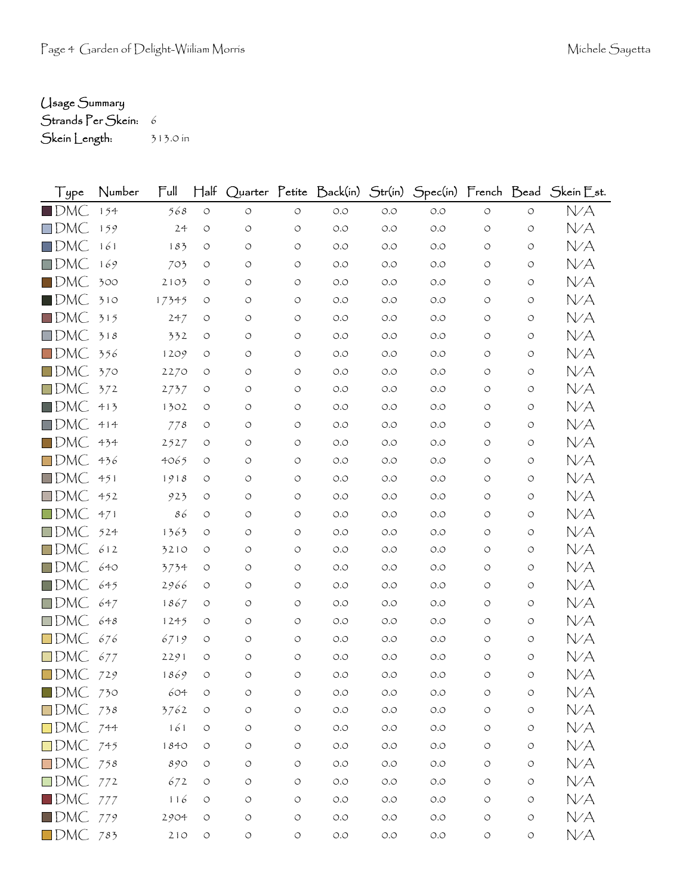## Usage Summary

Strands Per Skein: 6 Skein Length: 313.0 in

| Type                   | Number | $\mathsf{Full}$ | $H$ alf            |                    |                    |       |       |       |                    |                    | Quarter Petite Back(in) Str(in) Spec(in) French Bead Skein Est. |
|------------------------|--------|-----------------|--------------------|--------------------|--------------------|-------|-------|-------|--------------------|--------------------|-----------------------------------------------------------------|
| $\blacksquare$ DMC     | 154    | 568             | $\bigcirc$         | $\circ$            | $\bigcirc$         | $O.O$ | $O.O$ | $O.O$ | $\circ$            | $\circ$            | N/A                                                             |
| $\square$ DMC          | 159    | 24              | $\circlearrowleft$ | O                  | $\circ$            | O.O   | O.O   | O.O   | O                  | O                  | N/A                                                             |
| $\square$ DMC          | 161    | 183             | $\circ$            | O                  | $\circ$            | O.O   | $O.O$ | O.O   | O                  | O                  | N/A                                                             |
| $\square$ DMC          | 169    | 703             | O                  | O                  | O                  | O.O   | O.O   | 0.0   | O                  | O                  | N/A                                                             |
| $\blacksquare$ DMC     | 300    | 2103            | $\circ$            | O                  | $\circ$            | O.O   | O.O   | 0.0   | O                  | O                  | N/A                                                             |
| $\blacksquare$ DMC     | 310    | 17345           | O                  | O                  | O                  | O.O   | O.O   | O.O   | O                  | O                  | N/A                                                             |
| $\Box$ DMC             | 315    | 247             | O                  | O                  | $\circ$            | O.O   | O.O   | 0.0   | O                  | O                  | N/A                                                             |
| $\square$ DMC          | 318    | 332             | O                  | O                  | O                  | O.O   | O.O   | 0.0   | O                  | O                  | N/A                                                             |
| $\Box$ DMC             | 356    | 1209            | $\circ$            | O                  | $\circ$            | O.O   | O.O   | O.O   | O                  | O                  | N/A                                                             |
| $\Box$ DMC             | 370    | 2270            | O                  | O                  | $\circ$            | O.O   | O.O   | 0.0   | O                  | O                  | N/A                                                             |
| $\square$ DMC          | 372    | 2737            | O                  | O                  | O                  | O.O   | O.O   | O.O   | O                  | O                  | N/A                                                             |
| $\blacksquare$ DMC     | 413    | 1302            | O                  | O                  | $\circ$            | O.O   | O.O   | 0.0   | O                  | O                  | N/A                                                             |
| $\square$ DMC          | 414    | 778             | O                  | O                  | $\circ$            | O.O   | O.O   | O.O   | O                  | O                  | N/A                                                             |
| $\square$ DMC          | 434    | 2527            | $\circ$            | O                  | $\circ$            | O.O   | O.O   | O.O   | O                  | O                  | N/A                                                             |
| $\square$ DMC          | 436    | 4065            | O                  | O                  | $\circ$            | O.O   | O.O   | 0.0   | O                  | O                  | N/A                                                             |
| $\square$ DMC          | 451    | 1918            | O                  | O                  | $\circ$            | O.O   | O.O   | 0.0   | O                  | O                  | N/A                                                             |
| $\square$ DMC          | 452    | 923             | O                  | O                  | O                  | O.O   | O.O   | 0.0   | O                  | O                  | NA                                                              |
| $\Box$ DMC             | 471    | 86              | $\circ$            | O                  | $\circ$            | O.O   | O.O   | O.O   | O                  | O                  | NA                                                              |
| $\square$ DMC          | 524    | 1363            | O                  | O                  | O                  | O.O   | O.O   | O.O   | O                  | O                  | N/A                                                             |
| $\square$ DMC          | 612    | 3210            | O                  | O                  | $\circ$            | O.O   | O.O   | 0.0   | O                  | O                  | NA                                                              |
| $\Box$ DMC             | 640    | 3734            | $\circ$            | O                  | $\circ$            | O.O   | O.O   | O.O   | O                  | O                  | NA                                                              |
| $\Box$ DMC             | 645    | 2966            | O                  | O                  | $\circ$            | O.O   | O.O   | O.O   | O                  | O                  | NA                                                              |
| $\square$ DMC          | 647    | 1867            | O                  | O                  | O                  | O.O   | O.O   | 0.0   | O                  | O                  | NA                                                              |
| $\Box$ DMC             | 648    | 1245            | O                  | O                  | $\circ$            | O.O   | O.O   | 0.0   | O                  | O                  | NA                                                              |
| $\square$ DMC          | 676    | 6719            | O                  | O                  | O                  | O.O   | O.O   | O.O   | O                  | O                  | N/A                                                             |
| $\square$ DMC          | 677    | 2291            | O                  | O                  | $\circ$            | O.O   | O.O   | 0.0   | O                  | O                  | N/A                                                             |
| $\blacksquare$ DMC     | 729    | 1869            | $\circ$            | O                  | O                  | O.O   | O.O   | O.O   | O                  | O                  | N/A                                                             |
| $\blacksquare$ DMC 730 |        | 604             | $\circ$            | O                  | O                  | $O.O$ | $O.O$ | $O.O$ | $\circ$            | O                  | N/A                                                             |
| $\Box$ DMC 738         |        | 3762            | $\circ$            | $\circlearrowleft$ | $\bigcirc$         | $O.O$ | $O.O$ | O.O   | $\circlearrowleft$ | $\bigcirc$         | NA                                                              |
| $\Box$ DMC 744         |        | 161             | $\circ$            | $\circlearrowleft$ | O                  | $O.O$ | $O.O$ | O.O   | $\circlearrowleft$ | $\circlearrowleft$ | N/A                                                             |
| $\Box$ DMC 745         |        | 1840            | $\circ$            | $\circlearrowleft$ | $\bigcirc$         | $O.O$ | $O.O$ | $O.O$ | O                  | $\circ$            | N/A                                                             |
| $\Box$ DMC 758         |        | 890             | $\circlearrowleft$ | $\circlearrowleft$ | $\circlearrowleft$ | $O.O$ | $O.O$ | $O.O$ | $\circlearrowleft$ | $\bigcirc$         | N/A                                                             |
| $\Box$ DMC 772         |        | 672             | $\circ$            | $\circlearrowleft$ | $\circ$            | $O.O$ | $O.O$ | O.O   | $\circlearrowleft$ | $\bigcirc$         | NA                                                              |
| $\blacksquare$ DMC 777 |        | 116             | $\circlearrowleft$ | O                  | $\bigcirc$         | $O.O$ | $O.O$ | $O.O$ | $\circlearrowleft$ | $\bigcirc$         | NA                                                              |
| $\blacksquare$ DMC 779 |        | 2904            | $\circ$            | $\circlearrowleft$ | $\bigcirc$         | $O.O$ | $O.O$ | $O.O$ | O                  | $\bigcirc$         | NA                                                              |
| $\Box$ DMC 783         |        | 210             | $\bigcirc$         | $\bigcirc$         | $\bigcirc$         | $O.O$ | $O.O$ | $O.O$ | $\bigcirc$         | $\bigcirc$         | N/A                                                             |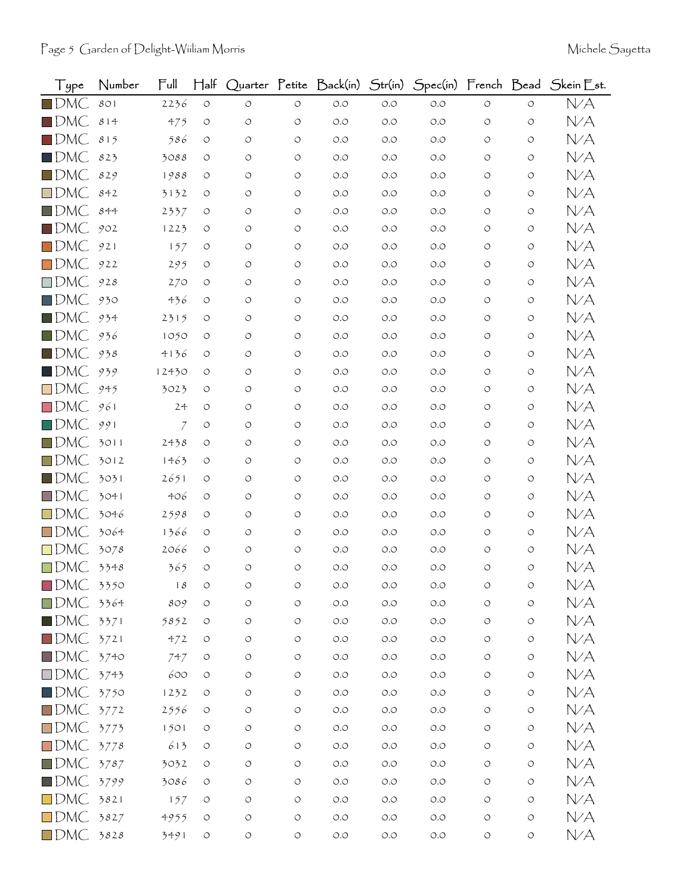| Type                    | Number | Ful            | $H$ alf            |                    |                    | Quarter Petite Back(in)              | Str(in) |       |            |                    | Spec(in) French Bead Skein Est. |
|-------------------------|--------|----------------|--------------------|--------------------|--------------------|--------------------------------------|---------|-------|------------|--------------------|---------------------------------|
| $\blacksquare$ DMC      | 801    | 2236           | $\circ$            | $\circ$            | $\circ$            | $O.O$                                | O.O     | O.O   | $\circ$    | $\circ$            | N/A                             |
| $\blacksquare$ DMC      | 814    | 475            | $\circ$            | O                  | $\circ$            | $O.O$                                | O.O     | O.O   | O          | O                  | N/A                             |
| $\square$ DMC           | 815    | 586            | O                  | $\circ$            | O                  | $O.O$                                | O.O     | O.O   | O          | O                  | N/A                             |
| $\blacksquare$ DMC      | 823    | 3088           | O                  | O                  | $\circ$            | O.O                                  | O.O     | O.O   | O          | O                  | N/A                             |
| $\blacksquare$ DMC      | 829    | 1988           | O                  | O                  | $\circ$            | O.O                                  | O.O     | O.O   | O          | O                  | N/A                             |
| $\square$ DMC           | 842    | 3132           | O                  | O                  | $\circ$            | O.O                                  | O.O     | O.O   | O          | $\circ$            | N/A                             |
| $\blacksquare$ DMC      | 844    | 2337           | O                  | O                  | $\circ$            | $O.O$                                | O.O     | 0.0   | O          | O                  | N/A                             |
| $\blacksquare$ DMC      | 902    | 1223           | O                  | O                  | $\circ$            | $O.O$                                | O.O     | O.O   | O          | O                  | N/A                             |
| $\square$ DMC           | 921    | 157            | O                  | O                  | $\circ$            | O.O                                  | O.O     | O.O   | O          | O                  | N/A                             |
| $\square$ DMC           | 922    | 295            | O                  | O                  | O                  | $O.O$                                | O.O     | O.O   | O          | O                  | N/A                             |
| $\square$ DMC           | 928    | 270            | O                  | O                  | $\circ$            | O.O                                  | O.O     | O.O   | O          | O                  | N/A                             |
| $\square$ DMC           | 930    | 436            | O                  | O                  | $\circ$            | $O.O$                                | O.O     | O.O   | O          | O                  | N/A                             |
| $\blacksquare$ DMC      | 934    | 2315           | O                  | O                  | O                  | O.O                                  | O.O     | 0.0   | O          | O                  | N/A                             |
| $\blacksquare$ DMC      | 936    | 1050           | O                  | O                  | $\circ$            | O.O                                  | O.O     | O.O   | O          | O                  | N/A                             |
| $\blacksquare$ DMC      | 938    | 4136           | O                  | O                  | O                  | $O.O$                                | O.O     | O.O   | O          | O                  | N/A                             |
| $\blacksquare$ DMC      | 939    | 12430          | O                  | O                  | $\circ$            | O.O                                  | O.O     | O.O   | O          | O                  | N/A                             |
| $\square$ DMC           | 945    | 3023           | O                  | O                  | $\circ$            | O.O                                  | O.O     | O.O   | O          | O                  | N/A                             |
| $\square$ DMC           | 961    | 24             | O                  | O                  | O                  | $O.O$                                | O.O     | O.O   | O          | O                  | N/A                             |
| $\square$ DMC           | 991    | $\overline{7}$ | O                  | O                  | O                  | $O.O$                                | O.O     | 0.0   | O          | O                  | N/A                             |
| $\blacksquare$ DMC      | 3011   | 2438           | O                  | O                  | $\circ$            | O.O                                  | O.O     | O.O   | O          | O                  | N/A                             |
| $\square$ DMC           | 3012   | 1463           | O                  | O                  | $\circ$            | O.O                                  | O.O     | O.O   | O          | O                  | N/A                             |
| $\blacksquare$ DMC      | 3031   | 2651           | O                  | O                  | O                  | O.O                                  | O.O     | O.O   | O          | O                  | N/A                             |
| $\square$ DMC           | 3041   | 406            | O                  | O                  | $\circ$            | O.O                                  | O.O     | O.O   | O          | O                  | N/A                             |
| $\square$ DMC           | 3046   | 2598           | O                  | O                  | $\circ$            | O.O                                  | O.O     | O.O   | O          | O                  | N/A                             |
| $\Box$ DMC              | 3064   | 1366           | O                  | O                  | O                  | O.O                                  | O.O     | O.O   | O          | O                  | N/A                             |
| $\square$ DMC           | 3078   | 2066           | O                  | O                  | $\circ$            | $O.O$                                | O.O     | O.O   | O          | $\circ$            | N/A                             |
| $\square$ DMC           | 3348   | 365            | $\circ$            | O                  | $\circ$            | $O.O$                                | O.O     | O.O   | O          | O                  | N/A                             |
| $\blacksquare$ DMC      | 3350   | 18             | O                  | O                  | O                  | O.O                                  | O.O     | O.O   |            | O                  | N/A                             |
| $\blacksquare$ DMC 3364 |        | 809            | $\circ$            | O                  | $\circ$            | $O.O$                                | $O.O$   | O.O   | O          | O                  | N/A                             |
| $\blacksquare$ DMC 3371 |        | 5852           | $\circ$            | $\bigcirc$         | $\circlearrowleft$ | $\circlearrowleft.\circlearrowright$ | $O.O$   | O.O   | O          | $\circlearrowleft$ | N/A                             |
| $\blacksquare$ DMC 3721 |        | 472            | O                  | $\bigcirc$         | $\circ$            | $O.O$                                | $O.O$   | O.O   | O          | О                  | N/A                             |
| $\blacksquare$ DMC 3740 |        | 747            | $\circ$            | O                  | $\circlearrowleft$ | $O.O$                                | O.O     | $O.O$ | O          | O                  | N/A                             |
| $\Box$ DMC 3743         |        | 600            | O                  | $\circlearrowleft$ | $\circlearrowleft$ | $O.O$                                | $O.O$   | $O.O$ | O          | O                  | N/A                             |
| $\blacksquare$ DMC 3750 |        | 1232           | $\circ$            | O                  | $\circ$            | $O.O$                                | O.O     | O.O   | O          | О                  | N/A                             |
| $\blacksquare$ DMC 3772 |        | 2556           | $\circ$            | O                  | $\circ$            | $O.O$                                | $O.O$   | O.O   | O          | O                  | N/A                             |
| $\Box$ DMC 3773         |        | 1501           | $\circ$            | $\circ$            | $\bigcirc$         | $O.O$                                | $O.O$   | $O.O$ | O          | O                  | NA                              |
| $\Box$ DMC 3778         |        | 613            | $\circlearrowleft$ | O                  | $\circlearrowleft$ | $O.O$                                | $O.O$   | $O.O$ | O          | $\bigcirc$         | N/A                             |
| $\blacksquare$ DMC 3787 |        | 3032           | O                  | O                  | O                  | $O.O$                                | O.O     | O.O   | O          | O                  | N/A                             |
| $\blacksquare$ DMC 3799 |        | 3086           | $\circ$            | O                  | $\circlearrowleft$ | $O.O$                                | $O.O$   | O.O   | O          | $\circ$            | N/A                             |
| $\Box$ DMC 3821         |        | 157            | $\circ$            | O                  | $\circ$            | $O.O$                                | $O.O$   | $O.O$ | O          | O                  | NA                              |
| $\Box$ DMC 3827         |        | 4955           | $\circ$            | O                  | $\circ$            | $O.O$                                | $O.O$   | O.O   | O          | $\circlearrowleft$ | N/A                             |
| $\Box$ DMC 3828         |        | 3491           | $\circ$            | $\bigcirc$         | $\circlearrowleft$ | $O.O$                                | $O.O$   | $O.O$ | $\bigcirc$ | $\circ$            | N/A                             |